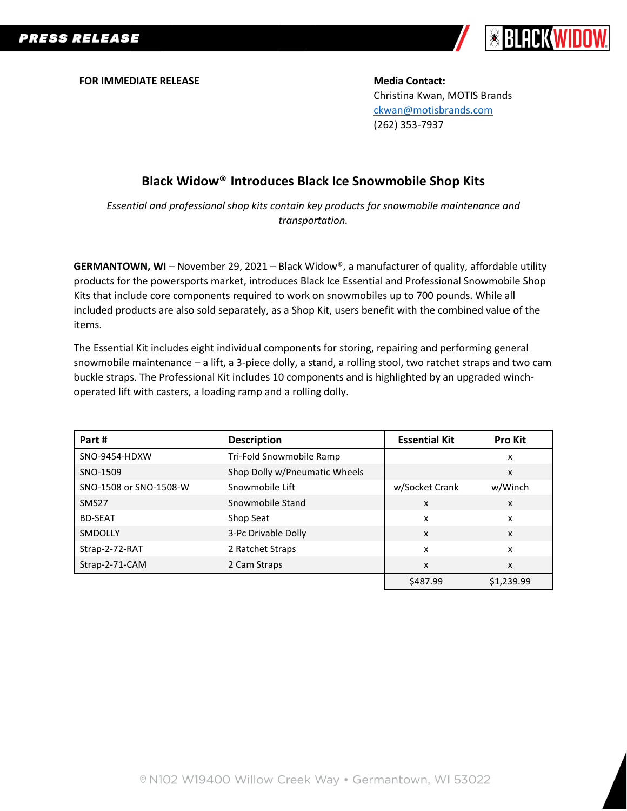

**FOR IMMEDIATE RELEASE Media Contact:** 

Christina Kwan, MOTIS Brands [ckwan@motisbrands.com](mailto:ckwan@motisbrands.com) (262) 353-7937

# **Black Widow® Introduces Black Ice Snowmobile Shop Kits**

*Essential and professional shop kits contain key products for snowmobile maintenance and transportation.*

**GERMANTOWN, WI** – November 29, 2021 – Black Widow®, a manufacturer of quality, affordable utility products for the powersports market, introduces Black Ice Essential and Professional Snowmobile Shop Kits that include core components required to work on snowmobiles up to 700 pounds. While all included products are also sold separately, as a Shop Kit, users benefit with the combined value of the items.

The Essential Kit includes eight individual components for storing, repairing and performing general snowmobile maintenance – a lift, a 3-piece dolly, a stand, a rolling stool, two ratchet straps and two cam buckle straps. The Professional Kit includes 10 components and is highlighted by an upgraded winchoperated lift with casters, a loading ramp and a rolling dolly.

| Part #                 | <b>Description</b>            | <b>Essential Kit</b>      | <b>Pro Kit</b> |
|------------------------|-------------------------------|---------------------------|----------------|
| SNO-9454-HDXW          | Tri-Fold Snowmobile Ramp      |                           | x              |
| SNO-1509               | Shop Dolly w/Pneumatic Wheels |                           | X              |
| SNO-1508 or SNO-1508-W | Snowmobile Lift               | w/Socket Crank            | w/Winch        |
| SMS <sub>27</sub>      | Snowmobile Stand              | x                         | X              |
| <b>BD-SEAT</b>         | Shop Seat                     | x                         | x              |
| SMDOLLY                | 3-Pc Drivable Dolly           | $\boldsymbol{\mathsf{x}}$ | X              |
| Strap-2-72-RAT         | 2 Ratchet Straps              | x                         | x              |
| Strap-2-71-CAM         | 2 Cam Straps                  | x                         | x              |
|                        |                               | \$487.99                  | \$1,239.99     |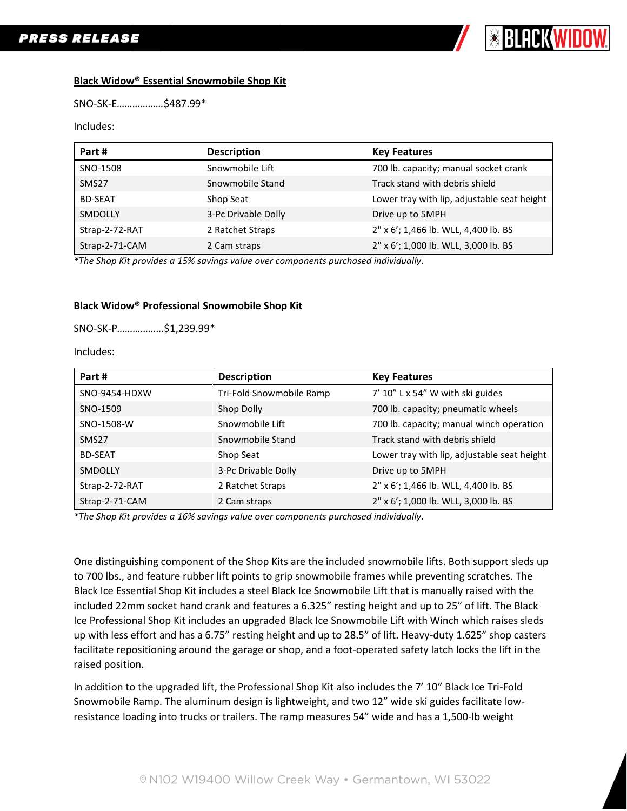

## **Black Widow® Essential Snowmobile Shop Kit**

SNO-SK-E*………………*\$487.99\*

#### Includes:

| Part #            | <b>Description</b>  | <b>Key Features</b>                         |
|-------------------|---------------------|---------------------------------------------|
| SNO-1508          | Snowmobile Lift     | 700 lb. capacity; manual socket crank       |
| SMS <sub>27</sub> | Snowmobile Stand    | Track stand with debris shield              |
| <b>BD-SEAT</b>    | Shop Seat           | Lower tray with lip, adjustable seat height |
| SMDOLLY           | 3-Pc Drivable Dolly | Drive up to 5MPH                            |
| Strap-2-72-RAT    | 2 Ratchet Straps    | 2" x 6'; 1,466 lb. WLL, 4,400 lb. BS        |
| Strap-2-71-CAM    | 2 Cam straps        | 2" x 6'; 1,000 lb. WLL, 3,000 lb. BS        |

*\*The Shop Kit provides a 15% savings value over components purchased individually.*

## **Black Widow® Professional Snowmobile Shop Kit**

SNO-SK-P*………………*\$1,239.99\*

Includes:

| Part #            | <b>Description</b>       | <b>Key Features</b>                         |
|-------------------|--------------------------|---------------------------------------------|
| SNO-9454-HDXW     | Tri-Fold Snowmobile Ramp | 7' 10" L x 54" W with ski guides            |
| SNO-1509          | Shop Dolly               | 700 lb. capacity; pneumatic wheels          |
| SNO-1508-W        | Snowmobile Lift          | 700 lb. capacity; manual winch operation    |
| SMS <sub>27</sub> | Snowmobile Stand         | Track stand with debris shield              |
| <b>BD-SEAT</b>    | Shop Seat                | Lower tray with lip, adjustable seat height |
| <b>SMDOLLY</b>    | 3-Pc Drivable Dolly      | Drive up to 5MPH                            |
| Strap-2-72-RAT    | 2 Ratchet Straps         | 2" x 6'; 1,466 lb. WLL, 4,400 lb. BS        |
| Strap-2-71-CAM    | 2 Cam straps             | 2" x 6'; 1,000 lb. WLL, 3,000 lb. BS        |

*\*The Shop Kit provides a 16% savings value over components purchased individually.*

One distinguishing component of the Shop Kits are the included snowmobile lifts. Both support sleds up to 700 lbs., and feature rubber lift points to grip snowmobile frames while preventing scratches. The Black Ice Essential Shop Kit includes a steel Black Ice Snowmobile Lift that is manually raised with the included 22mm socket hand crank and features a 6.325" resting height and up to 25" of lift. The Black Ice Professional Shop Kit includes an upgraded Black Ice Snowmobile Lift with Winch which raises sleds up with less effort and has a 6.75" resting height and up to 28.5" of lift. Heavy-duty 1.625" shop casters facilitate repositioning around the garage or shop, and a foot-operated safety latch locks the lift in the raised position.

In addition to the upgraded lift, the Professional Shop Kit also includes the 7' 10" Black Ice Tri-Fold Snowmobile Ramp. The aluminum design is lightweight, and two 12" wide ski guides facilitate lowresistance loading into trucks or trailers. The ramp measures 54" wide and has a 1,500-lb weight